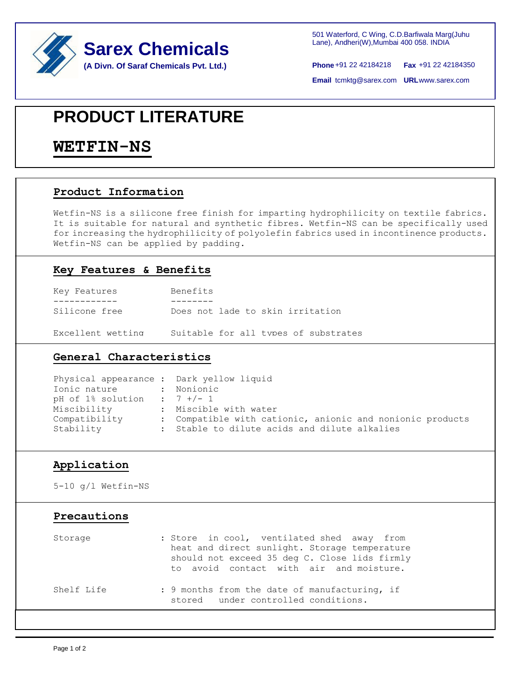



+91 22 42184218 **Phone Fax** +91 22 42184350

**Email tcmktg@sarex.com URL www.sarex.com** 

## **PRODUCT LITERATURE**

### **WETFIN-NS**

#### **Product Information**

Wetfin-NS is a silicone free finish for imparting hydrophilicity on textile fabrics. It is suitable for natural and synthetic fibres. Wetfin-NS can be specifically used for increasing the hydrophilicity of polyolefin fabrics used in incontinence products. Wetfin-NS can be applied by padding.

#### **Key Features & Benefits**

| Key Features      | Benefits                             |
|-------------------|--------------------------------------|
|                   |                                      |
| Silicone free     | Does not lade to skin irritation     |
| Excellent wetting | Suitable for all types of substrates |

#### **General Characteristics**

| Physical appearance : Dark yellow liquid |                                                           |
|------------------------------------------|-----------------------------------------------------------|
| Ionic nature : Nonionic                  |                                                           |
| pH of $1\%$ solution : $7+/-1$           |                                                           |
| Miscibility                              | : Miscible with water                                     |
| Compatibility                            | : Compatible with cationic, anionic and nonionic products |
| Stability                                | : Stable to dilute acids and dilute alkalies              |

#### **Application**

5-10 g/l Wetfin-NS

#### **Precautions**

| Storage    | : Store in cool, ventilated shed away from<br>heat and direct sunlight. Storage temperature<br>should not exceed 35 deg C. Close lids firmly<br>to avoid contact with air and moisture. |
|------------|-----------------------------------------------------------------------------------------------------------------------------------------------------------------------------------------|
| Shelf Life | : 9 months from the date of manufacturing, if<br>stored under controlled conditions.                                                                                                    |